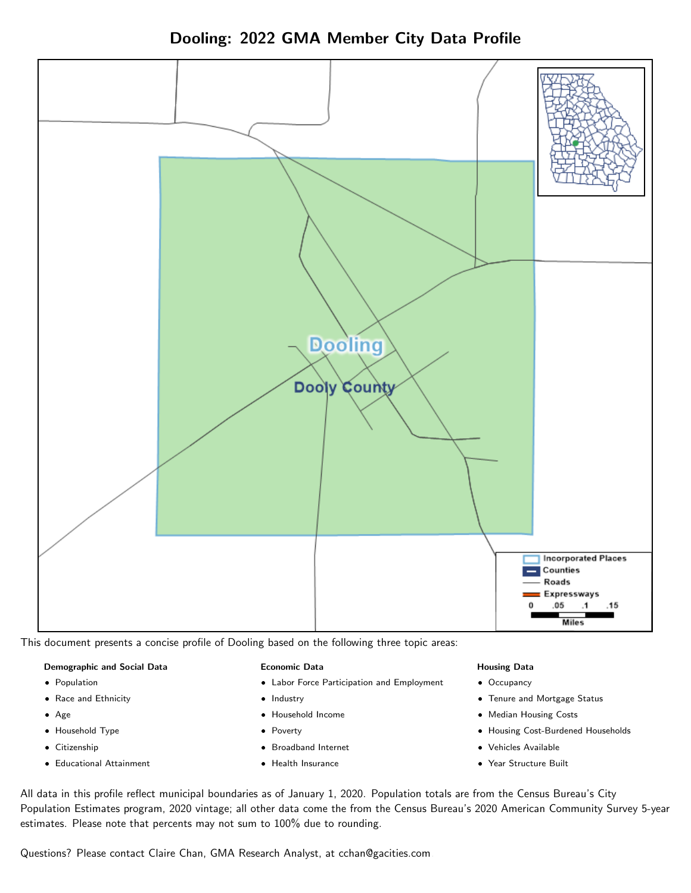Dooling: 2022 GMA Member City Data Profile



This document presents a concise profile of Dooling based on the following three topic areas:

#### Demographic and Social Data

- **•** Population
- Race and Ethnicity
- Age
- Household Type
- **Citizenship**
- Educational Attainment

#### Economic Data

- Labor Force Participation and Employment
- Industry
- Household Income
- Poverty
- Broadband Internet
- Health Insurance

#### Housing Data

- Occupancy
- Tenure and Mortgage Status
- Median Housing Costs
- Housing Cost-Burdened Households
- Vehicles Available
- Year Structure Built

All data in this profile reflect municipal boundaries as of January 1, 2020. Population totals are from the Census Bureau's City Population Estimates program, 2020 vintage; all other data come the from the Census Bureau's 2020 American Community Survey 5-year estimates. Please note that percents may not sum to 100% due to rounding.

Questions? Please contact Claire Chan, GMA Research Analyst, at [cchan@gacities.com.](mailto:cchan@gacities.com)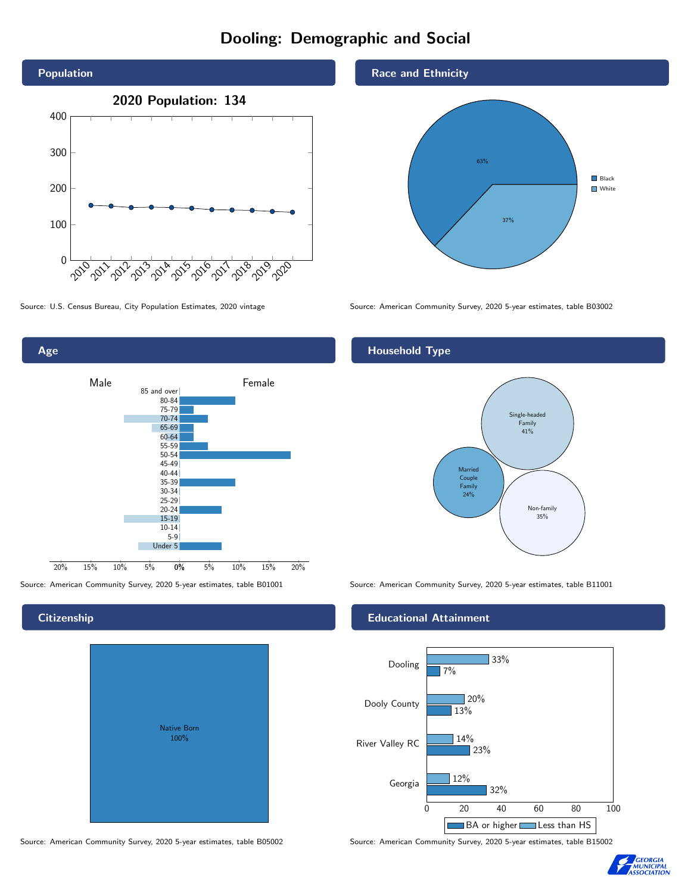## Dooling: Demographic and Social





#### **Citizenship**

Age

| <b>Native Born</b><br>100% |  |
|----------------------------|--|

Source: American Community Survey, 2020 5-year estimates, table B05002 Source: American Community Survey, 2020 5-year estimates, table B15002

Race and Ethnicity



Source: U.S. Census Bureau, City Population Estimates, 2020 vintage Source: American Community Survey, 2020 5-year estimates, table B03002

#### Household Type



Source: American Community Survey, 2020 5-year estimates, table B01001 Source: American Community Survey, 2020 5-year estimates, table B11001

#### Educational Attainment



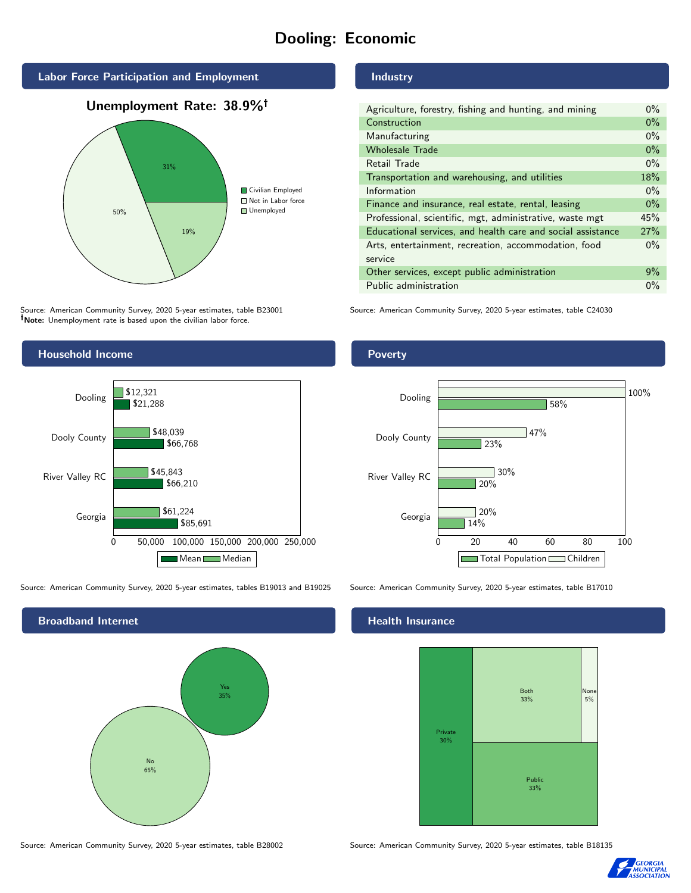# Dooling: Economic



### Unemployment Rate: 38.9%



Source: American Community Survey, 2020 5-year estimates, table B23001 Note: Unemployment rate is based upon the civilian labor force.



Source: American Community Survey, 2020 5-year estimates, tables B19013 and B19025 Source: American Community Survey, 2020 5-year estimates, table B17010

Broadband Internet No 65% Yes 35%

#### Industry

| Agriculture, forestry, fishing and hunting, and mining      | $0\%$ |
|-------------------------------------------------------------|-------|
| Construction                                                | $0\%$ |
| Manufacturing                                               | $0\%$ |
| <b>Wholesale Trade</b>                                      | $0\%$ |
| Retail Trade                                                | $0\%$ |
| Transportation and warehousing, and utilities               | 18%   |
| Information                                                 | $0\%$ |
| Finance and insurance, real estate, rental, leasing         | $0\%$ |
| Professional, scientific, mgt, administrative, waste mgt    | 45%   |
| Educational services, and health care and social assistance | 27%   |
| Arts, entertainment, recreation, accommodation, food        |       |
| service                                                     |       |
| Other services, except public administration                | $9\%$ |
| Public administration                                       | $0\%$ |

Source: American Community Survey, 2020 5-year estimates, table C24030

# Poverty



#### Health Insurance



Source: American Community Survey, 2020 5-year estimates, table B28002 Source: American Community Survey, 2020 5-year estimates, table B18135